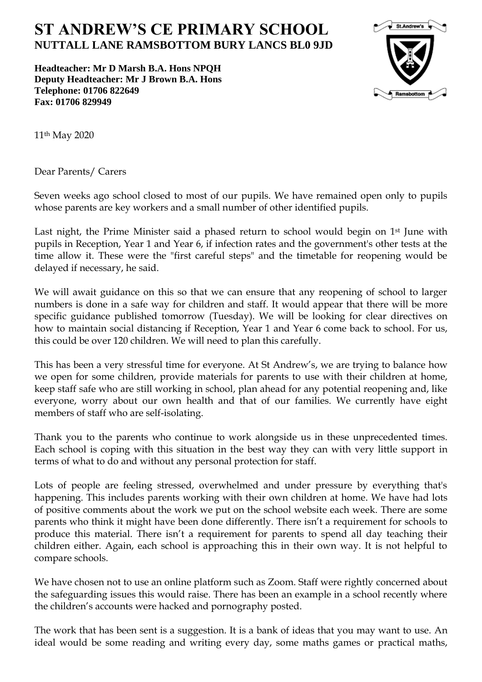## **ST ANDREW'S CE PRIMARY SCHOOL NUTTALL LANE RAMSBOTTOM BURY LANCS BL0 9JD**

**Headteacher: Mr D Marsh B.A. Hons NPQH Deputy Headteacher: Mr J Brown B.A. Hons Telephone: 01706 822649 Fax: 01706 829949**



11th May 2020

Dear Parents/ Carers

Seven weeks ago school closed to most of our pupils. We have remained open only to pupils whose parents are key workers and a small number of other identified pupils.

Last night, the Prime Minister said a phased return to school would begin on 1<sup>st</sup> June with pupils in Reception, Year 1 and Year 6, if infection rates and the government's other tests at the time allow it. These were the "first careful steps" and the timetable for reopening would be delayed if necessary, he said.

We will await guidance on this so that we can ensure that any reopening of school to larger numbers is done in a safe way for children and staff. It would appear that there will be more specific guidance published tomorrow (Tuesday). We will be looking for clear directives on how to maintain social distancing if Reception, Year 1 and Year 6 come back to school. For us, this could be over 120 children. We will need to plan this carefully.

This has been a very stressful time for everyone. At St Andrew's, we are trying to balance how we open for some children, provide materials for parents to use with their children at home, keep staff safe who are still working in school, plan ahead for any potential reopening and, like everyone, worry about our own health and that of our families. We currently have eight members of staff who are self-isolating.

Thank you to the parents who continue to work alongside us in these unprecedented times. Each school is coping with this situation in the best way they can with very little support in terms of what to do and without any personal protection for staff.

Lots of people are feeling stressed, overwhelmed and under pressure by everything that's happening. This includes parents working with their own children at home. We have had lots of positive comments about the work we put on the school website each week. There are some parents who think it might have been done differently. There isn't a requirement for schools to produce this material. There isn't a requirement for parents to spend all day teaching their children either. Again, each school is approaching this in their own way. It is not helpful to compare schools.

We have chosen not to use an online platform such as Zoom. Staff were rightly concerned about the safeguarding issues this would raise. There has been an example in a school recently where the children's accounts were hacked and pornography posted.

The work that has been sent is a suggestion. It is a bank of ideas that you may want to use. An ideal would be some reading and writing every day, some maths games or practical maths,